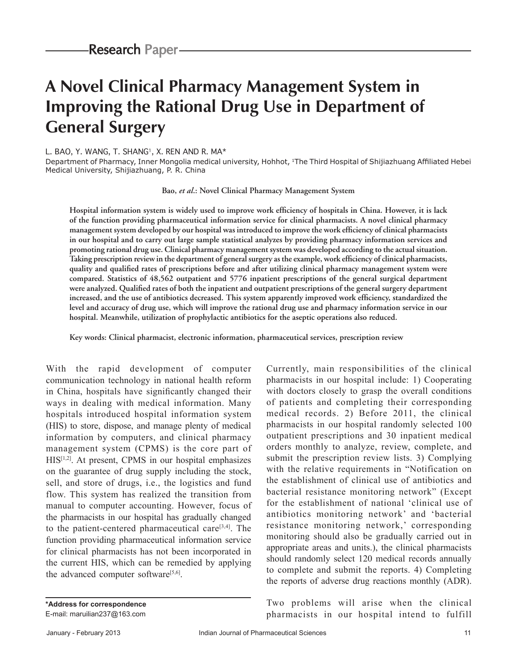# **A Novel Clinical Pharmacy Management System in Improving the Rational Drug Use in Department of General Surgery**

#### L. BAO, Y. WANG, T. SHANG<sup>1</sup>, X. REN AND R. MA<sup>\*</sup>

Department of Pharmacy, Inner Mongolia medical university, Hohhot, 1The Third Hospital of Shijiazhuang Affiliated Hebei Medical University, Shijiazhuang, P. R. China

**Bao,** *et al***.: Novel Clinical Pharmacy Management System**

**Hospital information system is widely used to improve work efficiency of hospitals in China. However, it is lack of the function providing pharmaceutical information service for clinical pharmacists. A novel clinical pharmacy management system developed by our hospital was introduced to improve the work efficiency of clinical pharmacists in our hospital and to carry out large sample statistical analyzes by providing pharmacy information services and promoting rational drug use. Clinical pharmacy management system was developed according to the actual situation. Taking prescription review in the department of general surgery as the example, work efficiency of clinical pharmacists, quality and qualified rates of prescriptions before and after utilizing clinical pharmacy management system were compared. Statistics of 48,562 outpatient and 5776 inpatient prescriptions of the general surgical department were analyzed. Qualified rates of both the inpatient and outpatient prescriptions of the general surgery department increased, and the use of antibiotics decreased. This system apparently improved work efficiency, standardized the level and accuracy of drug use, which will improve the rational drug use and pharmacy information service in our hospital. Meanwhile, utilization of prophylactic antibiotics for the aseptic operations also reduced.**

**Key words: Clinical pharmacist, electronic information, pharmaceutical services, prescription review**

With the rapid development of computer communication technology in national health reform in China, hospitals have significantly changed their ways in dealing with medical information. Many hospitals introduced hospital information system (HIS) to store, dispose, and manage plenty of medical information by computers, and clinical pharmacy management system (CPMS) is the core part of HIS[1,2]. At present, CPMS in our hospital emphasizes on the guarantee of drug supply including the stock, sell, and store of drugs, i.e., the logistics and fund flow. This system has realized the transition from manual to computer accounting. However, focus of the pharmacists in our hospital has gradually changed to the patient-centered pharmaceutical care $[3,4]$ . The function providing pharmaceutical information service for clinical pharmacists has not been incorporated in the current HIS, which can be remedied by applying the advanced computer software $[5,6]$ .

Currently, main responsibilities of the clinical pharmacists in our hospital include: 1) Cooperating with doctors closely to grasp the overall conditions of patients and completing their corresponding medical records. 2) Before 2011, the clinical pharmacists in our hospital randomly selected 100 outpatient prescriptions and 30 inpatient medical orders monthly to analyze, review, complete, and submit the prescription review lists. 3) Complying with the relative requirements in "Notification on the establishment of clinical use of antibiotics and bacterial resistance monitoring network" (Except for the establishment of national 'clinical use of antibiotics monitoring network' and 'bacterial resistance monitoring network,' corresponding monitoring should also be gradually carried out in appropriate areas and units.), the clinical pharmacists should randomly select 120 medical records annually to complete and submit the reports. 4) Completing the reports of adverse drug reactions monthly (ADR).

Two problems will arise when the clinical pharmacists in our hospital intend to fulfill

**\*Address for correspondence** E-mail: maruilian237@163.com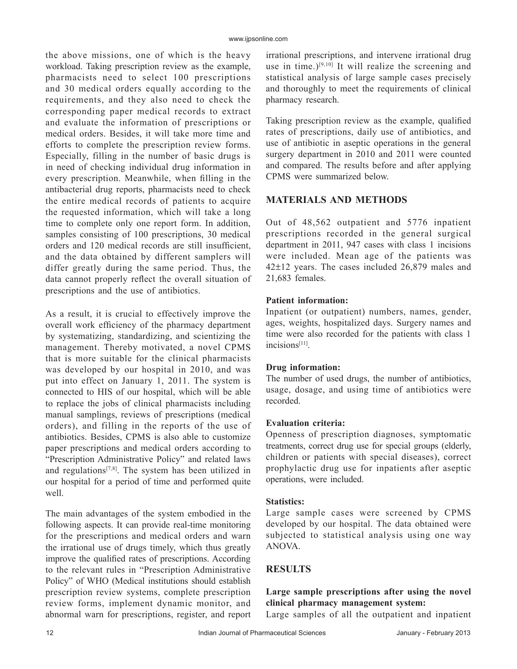the above missions, one of which is the heavy workload. Taking prescription review as the example, pharmacists need to select 100 prescriptions and 30 medical orders equally according to the requirements, and they also need to check the corresponding paper medical records to extract and evaluate the information of prescriptions or medical orders. Besides, it will take more time and efforts to complete the prescription review forms. Especially, filling in the number of basic drugs is in need of checking individual drug information in every prescription. Meanwhile, when filling in the antibacterial drug reports, pharmacists need to check the entire medical records of patients to acquire the requested information, which will take a long time to complete only one report form. In addition, samples consisting of 100 prescriptions, 30 medical orders and 120 medical records are still insufficient, and the data obtained by different samplers will differ greatly during the same period. Thus, the data cannot properly reflect the overall situation of prescriptions and the use of antibiotics.

As a result, it is crucial to effectively improve the overall work efficiency of the pharmacy department by systematizing, standardizing, and scientizing the management. Thereby motivated, a novel CPMS that is more suitable for the clinical pharmacists was developed by our hospital in 2010, and was put into effect on January 1, 2011. The system is connected to HIS of our hospital, which will be able to replace the jobs of clinical pharmacists including manual samplings, reviews of prescriptions (medical orders), and filling in the reports of the use of antibiotics. Besides, CPMS is also able to customize paper prescriptions and medical orders according to "Prescription Administrative Policy" and related laws and regulations[7,8]. The system has been utilized in our hospital for a period of time and performed quite well.

The main advantages of the system embodied in the following aspects. It can provide real-time monitoring for the prescriptions and medical orders and warn the irrational use of drugs timely, which thus greatly improve the qualified rates of prescriptions. According to the relevant rules in "Prescription Administrative Policy" of WHO (Medical institutions should establish prescription review systems, complete prescription review forms, implement dynamic monitor, and abnormal warn for prescriptions, register, and report irrational prescriptions, and intervene irrational drug use in time.)<sup>[9,10]</sup> It will realize the screening and statistical analysis of large sample cases precisely and thoroughly to meet the requirements of clinical pharmacy research.

Taking prescription review as the example, qualified rates of prescriptions, daily use of antibiotics, and use of antibiotic in aseptic operations in the general surgery department in 2010 and 2011 were counted and compared. The results before and after applying CPMS were summarized below.

# **MATERIALS AND METHODS**

Out of 48,562 outpatient and 5776 inpatient prescriptions recorded in the general surgical department in 2011, 947 cases with class 1 incisions were included. Mean age of the patients was 42±12 years. The cases included 26,879 males and 21,683 females.

# **Patient information:**

Inpatient (or outpatient) numbers, names, gender, ages, weights, hospitalized days. Surgery names and time were also recorded for the patients with class 1 incisions[11].

## **Drug information:**

The number of used drugs, the number of antibiotics, usage, dosage, and using time of antibiotics were recorded.

# **Evaluation criteria:**

Openness of prescription diagnoses, symptomatic treatments, correct drug use for special groups (elderly, children or patients with special diseases), correct prophylactic drug use for inpatients after aseptic operations, were included.

## **Statistics:**

Large sample cases were screened by CPMS developed by our hospital. The data obtained were subjected to statistical analysis using one way ANOVA.

# **RESULTS**

# **Large sample prescriptions after using the novel clinical pharmacy management system:**

Large samples of all the outpatient and inpatient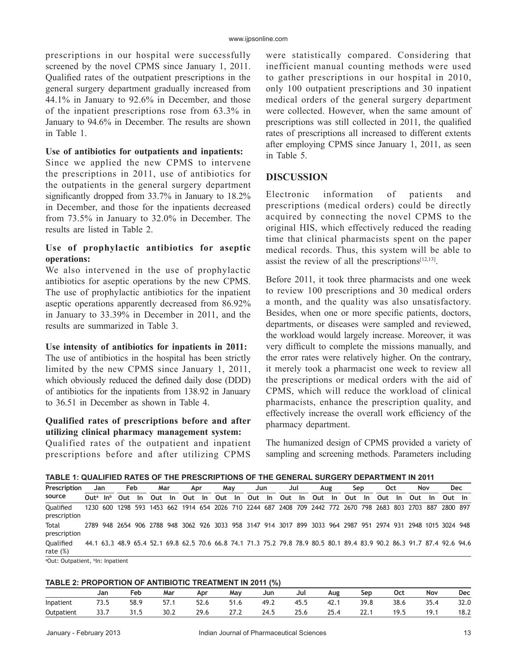prescriptions in our hospital were successfully screened by the novel CPMS since January 1, 2011. Qualified rates of the outpatient prescriptions in the general surgery department gradually increased from 44.1% in January to 92.6% in December, and those of the inpatient prescriptions rose from 63.3% in January to 94.6% in December. The results are shown in Table 1.

#### **Use of antibiotics for outpatients and inpatients:**

Since we applied the new CPMS to intervene the prescriptions in 2011, use of antibiotics for the outpatients in the general surgery department significantly dropped from 33.7% in January to 18.2% in December, and those for the inpatients decreased from 73.5% in January to 32.0% in December. The results are listed in Table 2.

## **Use of prophylactic antibiotics for aseptic operations:**

We also intervened in the use of prophylactic antibiotics for aseptic operations by the new CPMS. The use of prophylactic antibiotics for the inpatient aseptic operations apparently decreased from 86.92% in January to 33.39% in December in 2011, and the results are summarized in Table 3.

#### **Use intensity of antibiotics for inpatients in 2011:**

The use of antibiotics in the hospital has been strictly limited by the new CPMS since January 1, 2011, which obviously reduced the defined daily dose (DDD) of antibiotics for the inpatients from 138.92 in January to 36.51 in December as shown in Table 4.

# **Qualified rates of prescriptions before and after utilizing clinical pharmacy management system:**

Qualified rates of the outpatient and inpatient prescriptions before and after utilizing CPMS

were statistically compared. Considering that inefficient manual counting methods were used to gather prescriptions in our hospital in 2010, only 100 outpatient prescriptions and 30 inpatient medical orders of the general surgery department were collected. However, when the same amount of prescriptions was still collected in 2011, the qualified rates of prescriptions all increased to different extents after employing CPMS since January 1, 2011, as seen in Table 5.

# **DISCUSSION**

Electronic information of patients and prescriptions (medical orders) could be directly acquired by connecting the novel CPMS to the original HIS, which effectively reduced the reading time that clinical pharmacists spent on the paper medical records. Thus, this system will be able to assist the review of all the prescriptions $[12,13]$ .

Before 2011, it took three pharmacists and one week to review 100 prescriptions and 30 medical orders a month, and the quality was also unsatisfactory. Besides, when one or more specific patients, doctors, departments, or diseases were sampled and reviewed, the workload would largely increase. Moreover, it was very difficult to complete the missions manually, and the error rates were relatively higher. On the contrary, it merely took a pharmacist one week to review all the prescriptions or medical orders with the aid of CPMS, which will reduce the workload of clinical pharmacists, enhance the prescription quality, and effectively increase the overall work efficiency of the pharmacy department.

The humanized design of CPMS provided a variety of sampling and screening methods. Parameters including

| Prescription              |                 | Jan | Feb |      | Mar    | Apr | Mav | Jun                                | Jul |  | Aug | Sep                                                                                                                     | Oct | Nov        |      | Dec    |  |
|---------------------------|-----------------|-----|-----|------|--------|-----|-----|------------------------------------|-----|--|-----|-------------------------------------------------------------------------------------------------------------------------|-----|------------|------|--------|--|
| source                    | $Out^a$ In $^b$ |     | Out | - In | Out In |     |     | Out In Out In Out In Out In Out In |     |  |     | Out In                                                                                                                  |     | Out In Out | - In | Out In |  |
| Oualified<br>prescription |                 |     |     |      |        |     |     |                                    |     |  |     | 1230 600 1298 593 1453 662 1914 654 2026 710 2244 687 2408 709 2442 772 2670 798 2683 803 2703 887 2800 897             |     |            |      |        |  |
| Total<br>prescription     |                 |     |     |      |        |     |     |                                    |     |  |     | 2789 948 2654 906 2788 948 3062 926 3033 958 3147 914 3017 899 3033 964 2987 951 2974 931 2948 1015 3024 948            |     |            |      |        |  |
| Oualified<br>rate $(\%)$  |                 |     |     |      |        |     |     |                                    |     |  |     | 44.1 63.3 48.9 65.4 52.1 69.8 62.5 70.6 66.8 74.1 71.3 75.2 79.8 78.9 80.5 80.1 89.4 83.9 90.2 86.3 91.7 87.4 92.6 94.6 |     |            |      |        |  |

<sup>a</sup>Out: Outpatient, <sup>b</sup>In: Inpatient

#### **TABLE 2: PROPORTION OF ANTIBIOTIC TREATMENT IN 2011 (%)**

|            | Jan   | Feb  | Mar  | Apr  | Mav  | Jun  | Jul | Aug   | Sep  | 0ct  | Nov  | <b>Dec</b> |
|------------|-------|------|------|------|------|------|-----|-------|------|------|------|------------|
| Inpatient  | ر . ر | 58.9 | ,,,, | 52.6 | 51.6 | 49.∠ |     | 42. . | 39.8 | 38.6 | 35.4 | 32.0       |
| Outpatient | 33.7  | 31.5 | 30.2 | 29.6 | 41.L | 24.5 |     | 25.4  | 22.1 | 19.5 | 19.1 | 18.2       |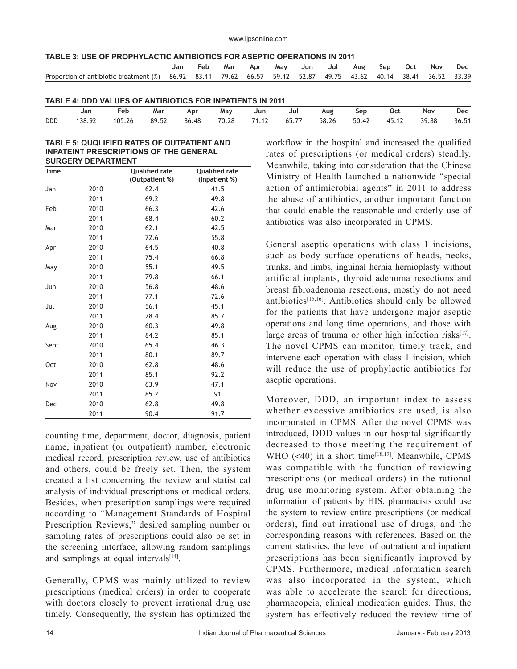www.ijpsonline.com

| TABLE 3: USE OF PROPHYLACTIC ANTIBIOTICS FOR ASEPTIC OPERATIONS IN 2011 |  |
|-------------------------------------------------------------------------|--|
|-------------------------------------------------------------------------|--|

|                                                                                                                | Jan | Feb. | Mar | Apr | Mav | Jun | Jul | Aug | Sep | - Oct | Nov | Dec |
|----------------------------------------------------------------------------------------------------------------|-----|------|-----|-----|-----|-----|-----|-----|-----|-------|-----|-----|
| Proportion of antibiotic treatment (%) 86.92 83.11 79.62 66.57 59.12 52.87 49.75 43.62 40.14 38.41 36.52 33.39 |     |      |     |     |     |     |     |     |     |       |     |     |
|                                                                                                                |     |      |     |     |     |     |     |     |     |       |     |     |

| TABLE 4: DDD VALUES OF ANTIBIOTICS FOR INPATIENTS IN 2011 |  |  |  |
|-----------------------------------------------------------|--|--|--|
|                                                           |  |  |  |

|            | Jar   | Feb     | Mar   | Apr   | May   | Jun        | Jul                       | Aug   | Sep   | <b>Oct</b>  | Nov   | Dec  |
|------------|-------|---------|-------|-------|-------|------------|---------------------------|-------|-------|-------------|-------|------|
| <b>DDD</b> | 38.92 | 1 በ1 ገ2 | 89.52 | 86.48 | 70.28 | 74.42<br>. | --<br><u>. .</u><br>UJ.I. | 58.26 | 50.42 | 15<br>7J.IZ | 39.88 | 36.5 |

#### **TABLE 5: QUQLIFIED RATES OF OUTPATIENT AND INPATEINT PRESCRIPTIONS OF THE GENERAL SURGERY DEPARTMENT**

| <b>Time</b> |      | <b>Qualified rate</b><br>(Outpatient %) | <b>Qualified rate</b><br>(Inpatient %) |
|-------------|------|-----------------------------------------|----------------------------------------|
| Jan         | 2010 | 62.4                                    | 41.5                                   |
|             | 2011 | 69.2                                    | 49.8                                   |
| Feb         | 2010 | 66.3                                    | 42.6                                   |
|             | 2011 | 68.4                                    | 60.2                                   |
| Mar         | 2010 | 62.1                                    | 42.5                                   |
|             | 2011 | 72.6                                    | 55.8                                   |
| Apr         | 2010 | 64.5                                    | 40.8                                   |
|             | 2011 | 75.4                                    | 66.8                                   |
| May         | 2010 | 55.1                                    | 49.5                                   |
|             | 2011 | 79.8                                    | 66.1                                   |
| Jun         | 2010 | 56.8                                    | 48.6                                   |
|             | 2011 | 77.1                                    | 72.6                                   |
| Jul         | 2010 | 56.1                                    | 45.1                                   |
|             | 2011 | 78.4                                    | 85.7                                   |
| Aug         | 2010 | 60.3                                    | 49.8                                   |
|             | 2011 | 84.2                                    | 85.1                                   |
| Sept        | 2010 | 65.4                                    | 46.3                                   |
|             | 2011 | 80.1                                    | 89.7                                   |
| <b>Oct</b>  | 2010 | 62.8                                    | 48.6                                   |
|             | 2011 | 85.1                                    | 92.2                                   |
| Nov         | 2010 | 63.9                                    | 47.1                                   |
|             | 2011 | 85.2                                    | 91                                     |
| Dec         | 2010 | 62.8                                    | 49.8                                   |
|             | 2011 | 90.4                                    | 91.7                                   |

counting time, department, doctor, diagnosis, patient name, inpatient (or outpatient) number, electronic medical record, prescription review, use of antibiotics and others, could be freely set. Then, the system created a list concerning the review and statistical analysis of individual prescriptions or medical orders. Besides, when prescription samplings were required according to "Management Standards of Hospital Prescription Reviews," desired sampling number or sampling rates of prescriptions could also be set in the screening interface, allowing random samplings and samplings at equal intervals $[14]$ .

Generally, CPMS was mainly utilized to review prescriptions (medical orders) in order to cooperate with doctors closely to prevent irrational drug use timely. Consequently, the system has optimized the workflow in the hospital and increased the qualified rates of prescriptions (or medical orders) steadily. Meanwhile, taking into consideration that the Chinese Ministry of Health launched a nationwide "special action of antimicrobial agents" in 2011 to address the abuse of antibiotics, another important function that could enable the reasonable and orderly use of antibiotics was also incorporated in CPMS.

General aseptic operations with class 1 incisions, such as body surface operations of heads, necks, trunks, and limbs, inguinal hernia hernioplasty without artificial implants, thyroid adenoma resections and breast fibroadenoma resections, mostly do not need antibiotics $[15,16]$ . Antibiotics should only be allowed for the patients that have undergone major aseptic operations and long time operations, and those with large areas of trauma or other high infection risks $[17]$ . The novel CPMS can monitor, timely track, and intervene each operation with class 1 incision, which will reduce the use of prophylactic antibiotics for aseptic operations.

Moreover, DDD, an important index to assess whether excessive antibiotics are used, is also incorporated in CPMS. After the novel CPMS was introduced, DDD values in our hospital significantly decreased to those meeting the requirement of WHO  $( $40$ )$  in a short time<sup>[18,19]</sup>. Meanwhile, CPMS was compatible with the function of reviewing prescriptions (or medical orders) in the rational drug use monitoring system. After obtaining the information of patients by HIS, pharmacists could use the system to review entire prescriptions (or medical orders), find out irrational use of drugs, and the corresponding reasons with references. Based on the current statistics, the level of outpatient and inpatient prescriptions has been significantly improved by CPMS. Furthermore, medical information search was also incorporated in the system, which was able to accelerate the search for directions, pharmacopeia, clinical medication guides. Thus, the system has effectively reduced the review time of